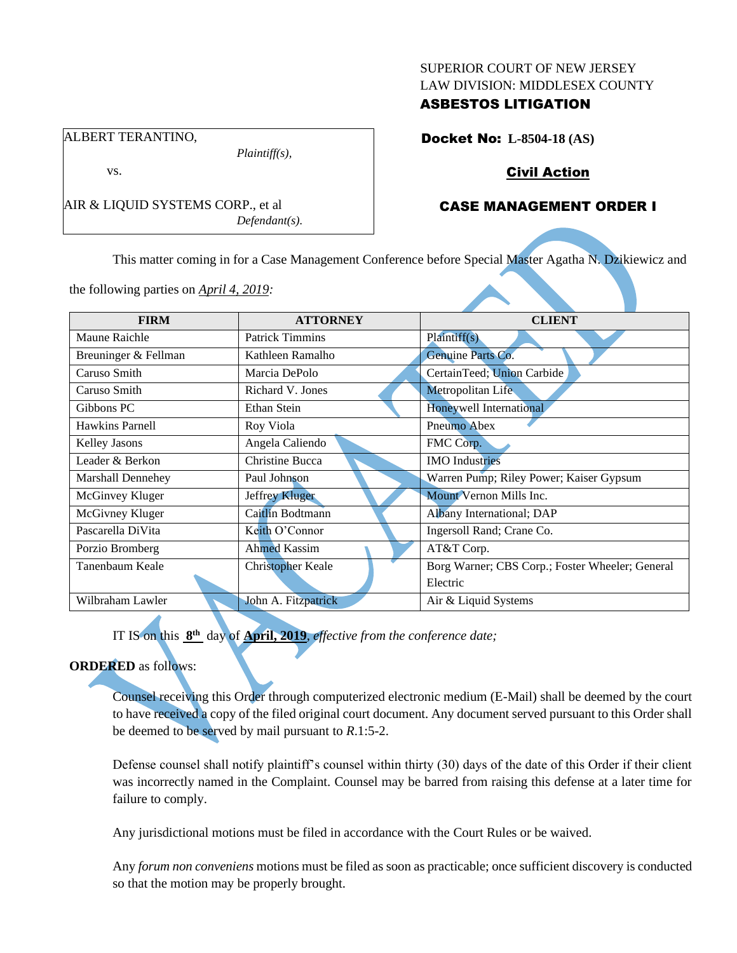#### SUPERIOR COURT OF NEW JERSEY LAW DIVISION: MIDDLESEX COUNTY

# ASBESTOS LITIGATION

Docket No: **L-8504-18 (AS)**

*Plaintiff(s),*

*Defendant(s).*

# Civil Action

# CASE MANAGEMENT ORDER I

This matter coming in for a Case Management Conference before Special Master Agatha N. Dzikiewicz and

the following parties on *April 4, 2019:*

AIR & LIQUID SYSTEMS CORP., et al

ALBERT TERANTINO,

vs.

| <b>FIRM</b>              | <b>ATTORNEY</b>          | <b>CLIENT</b>                                   |
|--------------------------|--------------------------|-------------------------------------------------|
| Maune Raichle            | <b>Patrick Timmins</b>   | Plaintiff(s)                                    |
| Breuninger & Fellman     | Kathleen Ramalho         | Genuine Parts Co.                               |
| Caruso Smith             | Marcia DePolo            | CertainTeed; Union Carbide                      |
| Caruso Smith             | Richard V. Jones         | Metropolitan Life                               |
| Gibbons PC               | <b>Ethan Stein</b>       | <b>Honeywell International</b>                  |
| <b>Hawkins Parnell</b>   | Roy Viola                | Pneumo Abex                                     |
| Kelley Jasons            | Angela Caliendo          | FMC Corp.                                       |
| Leader & Berkon          | Christine Bucca          | <b>IMO</b> Industries                           |
| <b>Marshall Dennehey</b> | Paul Johnson             | Warren Pump; Riley Power; Kaiser Gypsum         |
| McGinvey Kluger          | <b>Jeffrey Kluger</b>    | Mount Vernon Mills Inc.                         |
| McGivney Kluger          | Caitlin Bodtmann         | Albany International; DAP                       |
| Pascarella DiVita        | Keith O'Connor           | Ingersoll Rand; Crane Co.                       |
| Porzio Bromberg          | <b>Ahmed Kassim</b>      | AT&T Corp.                                      |
| Tanenbaum Keale          | <b>Christopher Keale</b> | Borg Warner; CBS Corp.; Foster Wheeler; General |
|                          |                          | Electric                                        |
| Wilbraham Lawler         | John A. Fitzpatrick      | Air & Liquid Systems                            |

IT IS on this **8 th** day of **April, 2019**, *effective from the conference date;*

## **ORDERED** as follows:

Counsel receiving this Order through computerized electronic medium (E-Mail) shall be deemed by the court to have received a copy of the filed original court document. Any document served pursuant to this Order shall be deemed to be served by mail pursuant to *R*.1:5-2.

Defense counsel shall notify plaintiff's counsel within thirty (30) days of the date of this Order if their client was incorrectly named in the Complaint. Counsel may be barred from raising this defense at a later time for failure to comply.

Any jurisdictional motions must be filed in accordance with the Court Rules or be waived.

Any *forum non conveniens* motions must be filed as soon as practicable; once sufficient discovery is conducted so that the motion may be properly brought.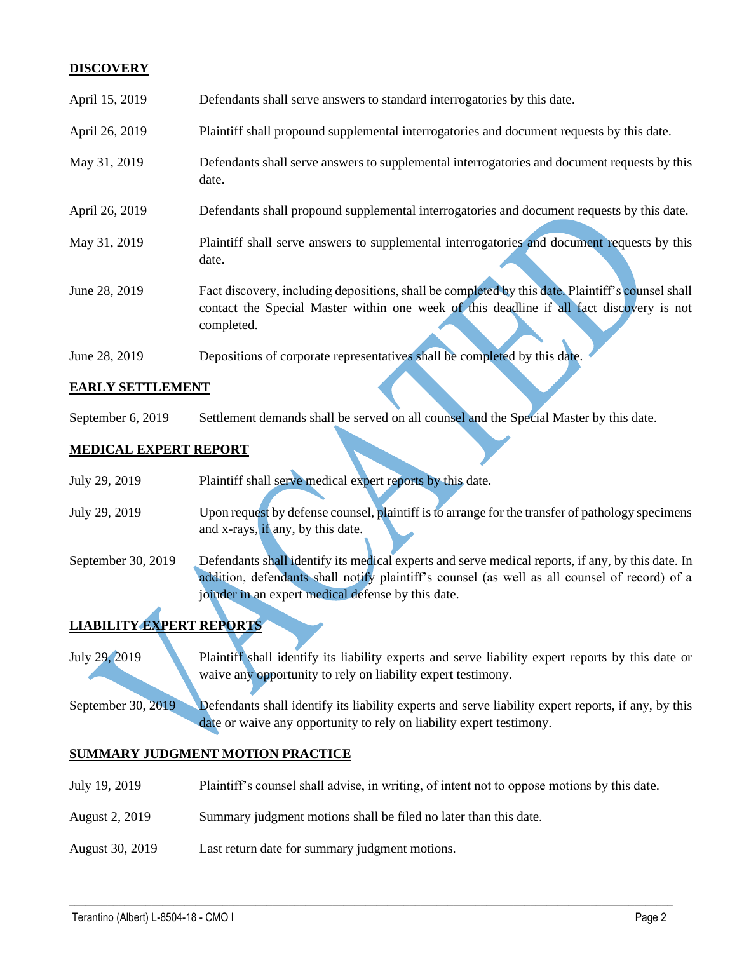## **DISCOVERY**

| April 15, 2019 | Defendants shall serve answers to standard interrogatories by this date.                                                                                                                                    |
|----------------|-------------------------------------------------------------------------------------------------------------------------------------------------------------------------------------------------------------|
| April 26, 2019 | Plaintiff shall propound supplemental interrogatories and document requests by this date.                                                                                                                   |
| May 31, 2019   | Defendants shall serve answers to supplemental interrogatories and document requests by this<br>date.                                                                                                       |
| April 26, 2019 | Defendants shall propound supplemental interrogatories and document requests by this date.                                                                                                                  |
| May 31, 2019   | Plaintiff shall serve answers to supplemental interrogatories and document requests by this<br>date.                                                                                                        |
| June 28, 2019  | Fact discovery, including depositions, shall be completed by this date. Plaintiff's counsel shall<br>contact the Special Master within one week of this deadline if all fact discovery is not<br>completed. |
| June 28, 2019  | Depositions of corporate representatives shall be completed by this date.                                                                                                                                   |

## **EARLY SETTLEMENT**

September 6, 2019 Settlement demands shall be served on all counsel and the Special Master by this date.

### **MEDICAL EXPERT REPORT**

| July 29, 2019      | Plaintiff shall serve medical expert reports by this date.                                        |
|--------------------|---------------------------------------------------------------------------------------------------|
| July 29, 2019      | Upon request by defense counsel, plaintiff is to arrange for the transfer of pathology specimens  |
|                    | and x-rays, if any, by this date.                                                                 |
| September 30, 2019 | Defendants shall identify its medical experts and serve medical reports, if any, by this date. In |
|                    | addition, defendants shall notify plaintiff's counsel (as well as all counsel of record) of a     |
|                    | joinder in an expert medical defense by this date.                                                |
|                    |                                                                                                   |

# **LIABILITY EXPERT REPORTS**

July 29, 2019 Plaintiff shall identify its liability experts and serve liability expert reports by this date or waive any opportunity to rely on liability expert testimony.

September 30, 2019 Defendants shall identify its liability experts and serve liability expert reports, if any, by this date or waive any opportunity to rely on liability expert testimony.

### **SUMMARY JUDGMENT MOTION PRACTICE**

July 19, 2019 Plaintiff's counsel shall advise, in writing, of intent not to oppose motions by this date.

 $\_$  , and the set of the set of the set of the set of the set of the set of the set of the set of the set of the set of the set of the set of the set of the set of the set of the set of the set of the set of the set of th

- August 2, 2019 Summary judgment motions shall be filed no later than this date.
- August 30, 2019 Last return date for summary judgment motions.